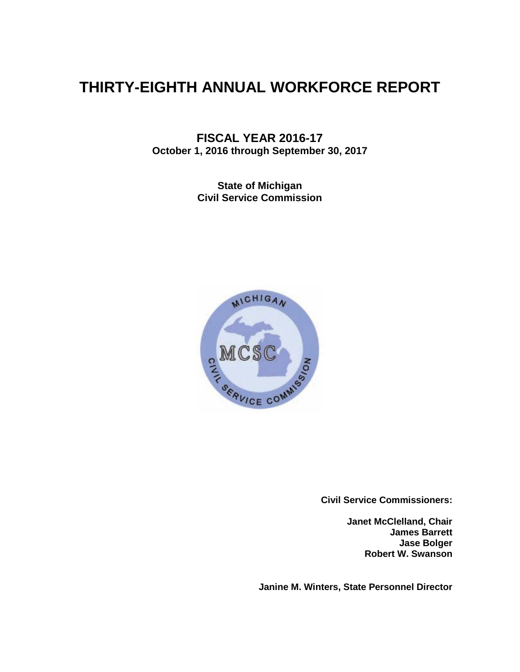# **THIRTY-EIGHTH ANNUAL WORKFORCE REPORT**

**FISCAL YEAR 2016-17 October 1, 2016 through September 30, 2017**

> **State of Michigan Civil Service Commission**



**Civil Service Commissioners:**

**Janet McClelland, Chair James Barrett Jase Bolger Robert W. Swanson**

**Janine M. Winters, State Personnel Director**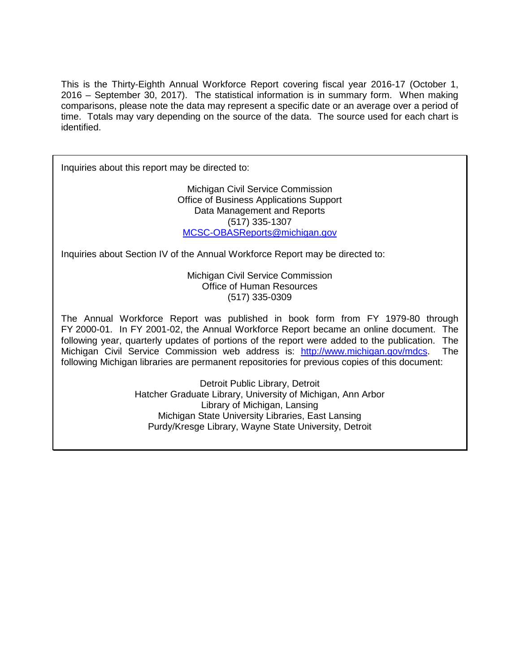This is the Thirty-Eighth Annual Workforce Report covering fiscal year 2016-17 (October 1, 2016 – September 30, 2017). The statistical information is in summary form. When making comparisons, please note the data may represent a specific date or an average over a period of time. Totals may vary depending on the source of the data. The source used for each chart is identified.

Inquiries about this report may be directed to:

Michigan Civil Service Commission Office of Business Applications Support Data Management and Reports (517) 335-1307 MCSC-OBASReports@michigan.gov

Inquiries about Section IV of the Annual Workforce Report may be directed to:

Michigan Civil Service Commission Office of Human Resources (517) 335-0309

The Annual Workforce Report was published in book form from FY 1979-80 through FY 2000-01. In FY 2001-02, the Annual Workforce Report became an online document. The following year, quarterly updates of portions of the report were added to the publication. The Michigan Civil Service Commission web address is: [http://www.michigan.gov/mdcs.](http://www.michigan.gov/mdcs) The following Michigan libraries are permanent repositories for previous copies of this document:

> Detroit Public Library, Detroit Hatcher Graduate Library, University of Michigan, Ann Arbor Library of Michigan, Lansing Michigan State University Libraries, East Lansing Purdy/Kresge Library, Wayne State University, Detroit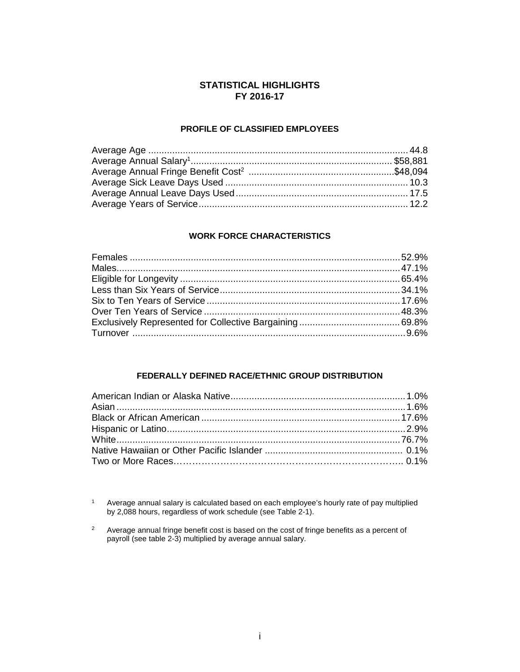#### **STATISTICAL HIGHLIGHTS FY 2016-17**

#### **PROFILE OF CLASSIFIED EMPLOYEES**

#### **WORK FORCE CHARACTERISTICS**

#### **FEDERALLY DEFINED RACE/ETHNIC GROUP DISTRIBUTION**

 $1$  Average annual salary is calculated based on each employee's hourly rate of pay multiplied by 2,088 hours, regardless of work schedule (see Table 2-1).

 $2^2$  Average annual fringe benefit cost is based on the cost of fringe benefits as a percent of payroll (see table 2-3) multiplied by average annual salary.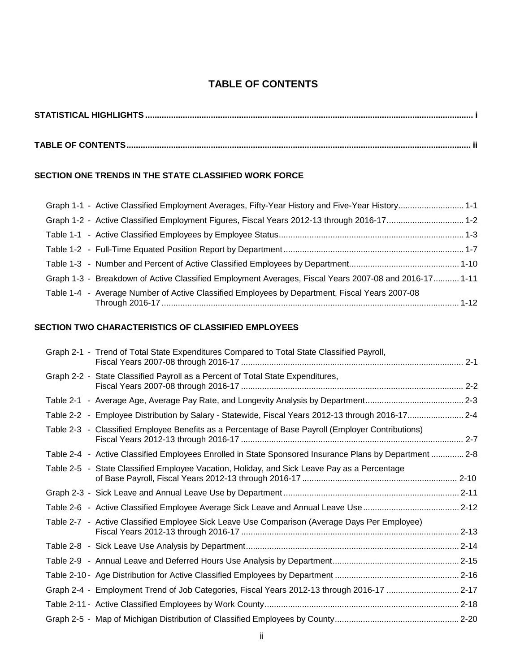## **TABLE OF CONTENTS**

| . |
|---|
|   |

## **TABLE OF CONTENTS................................................................................................................................................... ii**

#### **SECTION ONE TRENDS IN THE STATE CLASSIFIED WORK FORCE**

| Graph 1-1 - Active Classified Employment Averages, Fifty-Year History and Five-Year History 1-1       |  |
|-------------------------------------------------------------------------------------------------------|--|
|                                                                                                       |  |
|                                                                                                       |  |
|                                                                                                       |  |
|                                                                                                       |  |
| Graph 1-3 - Breakdown of Active Classified Employment Averages, Fiscal Years 2007-08 and 2016-17 1-11 |  |
| Table 1-4 - Average Number of Active Classified Employees by Department, Fiscal Years 2007-08         |  |

### **SECTION TWO CHARACTERISTICS OF CLASSIFIED EMPLOYEES**

| Graph 2-1 - Trend of Total State Expenditures Compared to Total State Classified Payroll,              |  |
|--------------------------------------------------------------------------------------------------------|--|
| Graph 2-2 - State Classified Payroll as a Percent of Total State Expenditures,                         |  |
|                                                                                                        |  |
| Table 2-2 - Employee Distribution by Salary - Statewide, Fiscal Years 2012-13 through 2016-17 2-4      |  |
| Table 2-3 - Classified Employee Benefits as a Percentage of Base Payroll (Employer Contributions)      |  |
| Table 2-4 - Active Classified Employees Enrolled in State Sponsored Insurance Plans by Department  2-8 |  |
| Table 2-5 - State Classified Employee Vacation, Holiday, and Sick Leave Pay as a Percentage            |  |
|                                                                                                        |  |
|                                                                                                        |  |
| Table 2-7 - Active Classified Employee Sick Leave Use Comparison (Average Days Per Employee)           |  |
|                                                                                                        |  |
|                                                                                                        |  |
|                                                                                                        |  |
| Graph 2-4 - Employment Trend of Job Categories, Fiscal Years 2012-13 through 2016-17 2-17              |  |
|                                                                                                        |  |
|                                                                                                        |  |